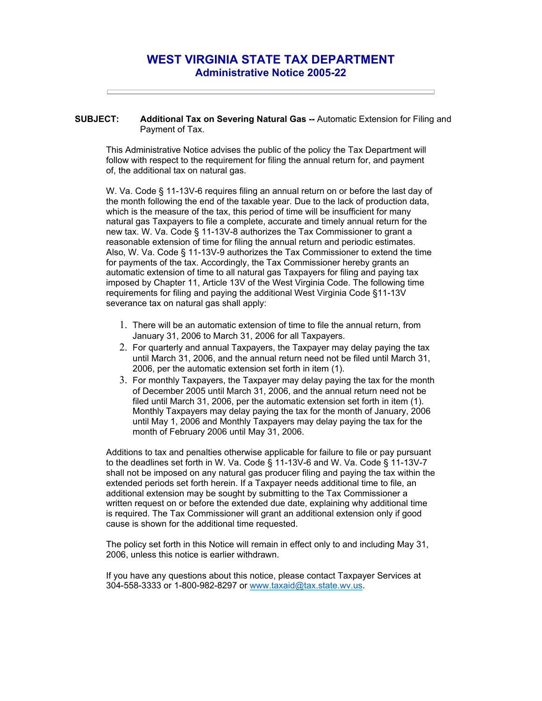## **WEST VIRGINIA STATE TAX DEPARTMENT Administrative Notice 2005-22**

**SUBJECT: Additional Tax on Severing Natural Gas --** Automatic Extension for Filing and Payment of Tax.

This Administrative Notice advises the public of the policy the Tax Department will follow with respect to the requirement for filing the annual return for, and payment of, the additional tax on natural gas.

W. Va. Code § 11-13V-6 requires filing an annual return on or before the last day of the month following the end of the taxable year. Due to the lack of production data, which is the measure of the tax, this period of time will be insufficient for many natural gas Taxpayers to file a complete, accurate and timely annual return for the new tax. W. Va. Code § 11-13V-8 authorizes the Tax Commissioner to grant a reasonable extension of time for filing the annual return and periodic estimates. Also, W. Va. Code § 11-13V-9 authorizes the Tax Commissioner to extend the time for payments of the tax. Accordingly, the Tax Commissioner hereby grants an automatic extension of time to all natural gas Taxpayers for filing and paying tax imposed by Chapter 11, Article 13V of the West Virginia Code. The following time requirements for filing and paying the additional West Virginia Code §11-13V severance tax on natural gas shall apply:

- 1. There will be an automatic extension of time to file the annual return, from January 31, 2006 to March 31, 2006 for all Taxpayers.
- 2. For quarterly and annual Taxpayers, the Taxpayer may delay paying the tax until March 31, 2006, and the annual return need not be filed until March 31, 2006, per the automatic extension set forth in item (1).
- 3. For monthly Taxpayers, the Taxpayer may delay paying the tax for the month of December 2005 until March 31, 2006, and the annual return need not be filed until March 31, 2006, per the automatic extension set forth in item (1). Monthly Taxpayers may delay paying the tax for the month of January, 2006 until May 1, 2006 and Monthly Taxpayers may delay paying the tax for the month of February 2006 until May 31, 2006.

Additions to tax and penalties otherwise applicable for failure to file or pay pursuant to the deadlines set forth in W. Va. Code § 11-13V-6 and W. Va. Code § 11-13V-7 shall not be imposed on any natural gas producer filing and paying the tax within the extended periods set forth herein. If a Taxpayer needs additional time to file, an additional extension may be sought by submitting to the Tax Commissioner a written request on or before the extended due date, explaining why additional time is required. The Tax Commissioner will grant an additional extension only if good cause is shown for the additional time requested.

The policy set forth in this Notice will remain in effect only to and including May 31, 2006, unless this notice is earlier withdrawn.

If you have any questions about this notice, please contact Taxpayer Services at 304-558-3333 or 1-800-982-8297 or www.taxaid@tax.state.wv.us.